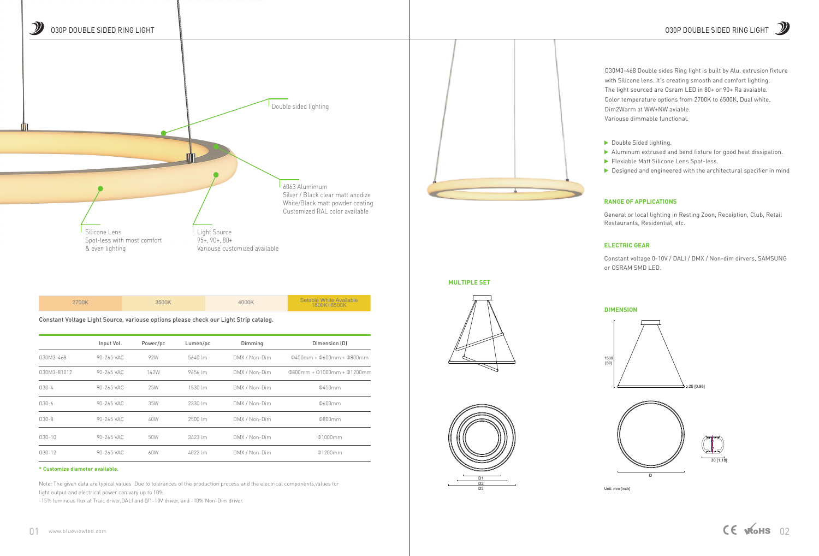Constant Voltage Light Source, variouse options please check our Light Strip catalog.

|--|

## **\* Customize diameter available.**

|             | Input Vol. | Power/pc | Lumen/pc              | Dimming       | Dimension (D)                |
|-------------|------------|----------|-----------------------|---------------|------------------------------|
| 030M3-468   | 90-265 VAC | 92W      | 5640 lm               | DMX / Non-Dim | $0450mm + 0600mm + 0800mm$   |
| 030M3-81012 | 90-265 VAC | 142W     | 9656 lm               | DMX / Non-Dim | $0800mm + 01000mm + 01200mm$ |
| $030 - 4$   | 90-265 VAC | 25W      | $1530$ lm             | DMX / Non-Dim | Φ450mm                       |
| $030 - 6$   | 90-265 VAC | 35W      | 2330 lm               | DMX / Non-Dim | Φ600mm                       |
| $030 - 8$   | 90-265 VAC | 40W      | $2500 \, \text{Im}$   | DMX / Non-Dim | 0800mm                       |
| $030 - 10$  | 90-265 VAC | 50W      | $3423 \, \mathrm{Im}$ | DMX / Non-Dim | $\Phi$ 1000mm                |
| $030-12$    | 90-265 VAC | 60W      | $4022$ lm             | DMX / Non-Dim | 01200mm                      |

Note: The given data are typical values Due to tolerances of the production process and the electrical components,values for light output and electrical power can vary up to 10%.

- O30M3-468 Double sides Ring light is built by Alu. extrusion fixture with Silicone lens. It's creating smooth and comfort lighting.
- The light sourced are Osram LED in 80+ or 90+ Ra avaiable.
- Color temperature options from 2700K to 6500K, Dual white,
- Dim2Warm at WW+NW aviable.
- Variouse dimmable functional.
- Double Sided lighting.
- Aluminum extrused and bend fixture for good heat dissipation.
- Flexiable Matt Silicone Lens Spot-less.
- $\triangleright$  Designed and engineered with the architectural specifier in mind

-15% luminous flux at Traic driver,DALI and 0/1-10V driver, and -10% Non-Dim driver.





## **RANGE OF APPLICATIONS**

General or local lighting in Resting Zoon, Receiption, Club, Retail Restaurants, Residential, etc.

## **ELECTRIC GEAR**

Constant voltage 0-10V / DALI / DMX / Non-dim dirvers, SAMSUNG or OSRAM SMD LED.

**MULTIPLE SET** 



Unit: mm [inch]